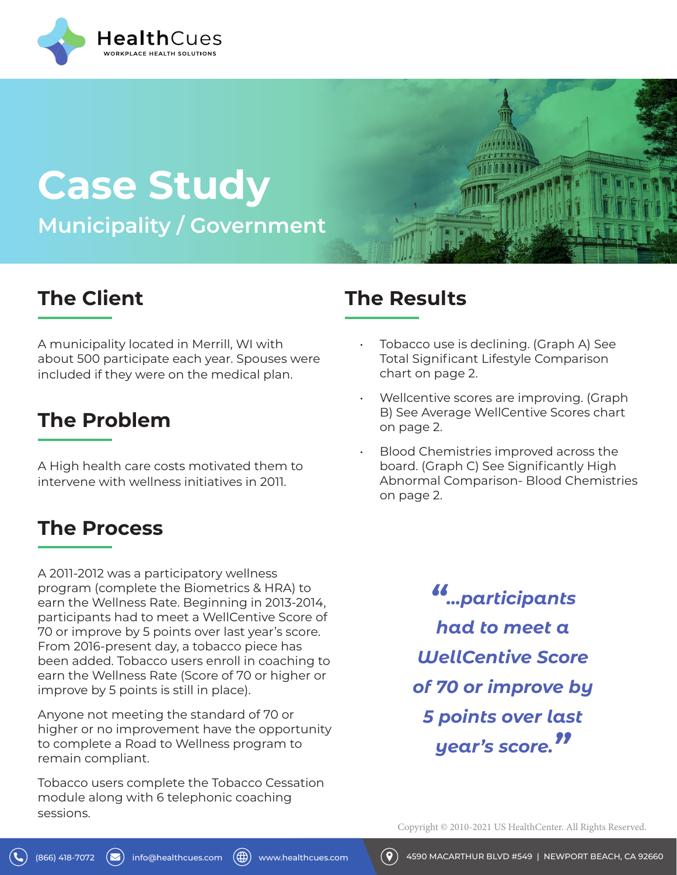

# **Case Study Municipality / Government**

## **The Client**

A municipality located in Merrill, WI with about 500 participate each year. Spouses were included if they were on the medical plan.

### **The Problem**

A High health care costs motivated them to intervene with wellness initiatives in 2011.

#### **The Process**

A 2011-2012 was a participatory wellness program (complete the Biometrics & HRA) to earn the Wellness Rate. Beginning in 2013-2014, participants had to meet a WellCentive Score of 70 or improve by 5 points over last year's score. From 2016-present day, a tobacco piece has been added. Tobacco users enroll in coaching to earn the Wellness Rate (Score of 70 or higher or improve by 5 points is still in place).

Anyone not meeting the standard of 70 or higher or no improvement have the opportunity to complete a Road to Wellness program to remain compliant.

Tobacco users complete the Tobacco Cessation module along with 6 telephonic coaching sessions.

#### **The Results**

- Tobacco use is declining. (Graph A) See Total Significant Lifestyle Comparison chart on page 2.
- Wellcentive scores are improving. (Graph B) See Average WellCentive Scores chart on page 2.
- Blood Chemistries improved across the board. (Graph C) See Significantly High Abnormal Comparison- Blood Chemistries on page 2.

*"...participants had to meet a WellCentive Score of 70 or improve by 5 points over last year's score."*

Copyright © 2010-2021 US HealthCenter. All Rights Reserved.